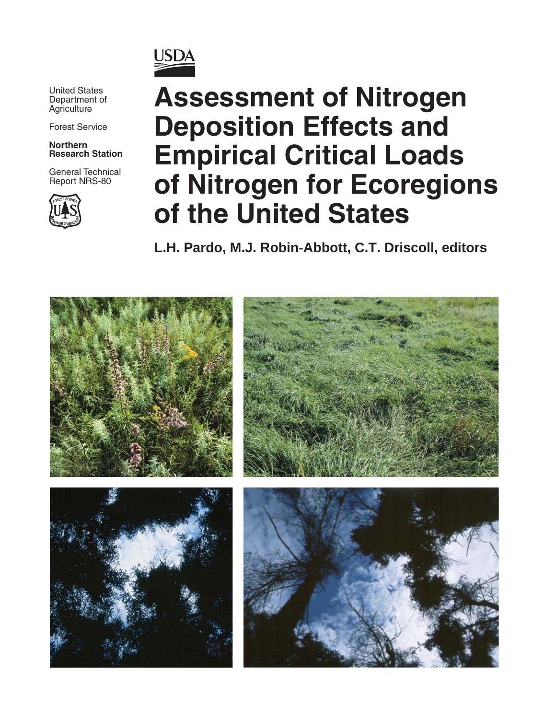

United States Department of **Agriculture** 

Forest Service

**Northern Research Station**

General Technical Report NRS-80



# **Assessment of Nitrogen Deposition Effects and Empirical Critical Loads of Nitrogen for Ecoregions of the United States**

**L.H. Pardo, M.J. Robin-Abbott, C.T. Driscoll, editors**

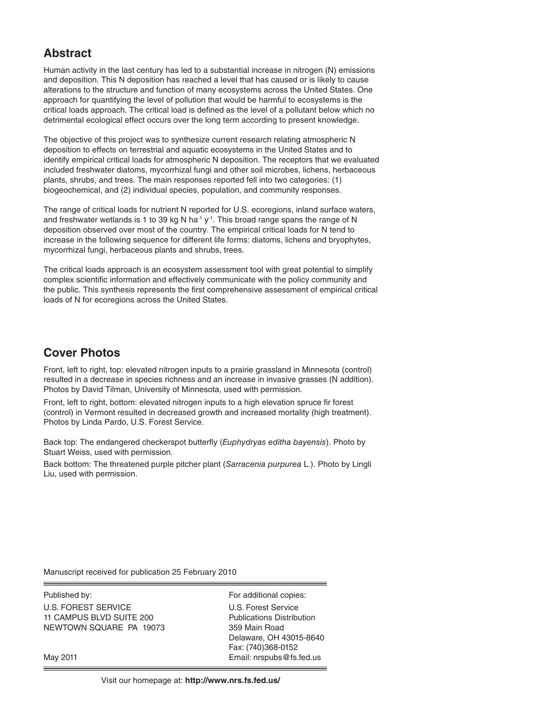#### **Abstract**

Human activity in the last century has led to a substantial increase in nitrogen (N) emissions and deposition. This N deposition has reached a level that has caused or is likely to cause alterations to the structure and function of many ecosystems across the United States. One approach for quantifying the level of pollution that would be harmful to ecosystems is the critical loads approach. The critical load is defined as the level of a pollutant below which no detrimental ecological effect occurs over the long term according to present knowledge.

The objective of this project was to synthesize current research relating atmospheric N deposition to effects on terrestrial and aquatic ecosystems in the United States and to identify empirical critical loads for atmospheric N deposition. The receptors that we evaluated included freshwater diatoms, mycorrhizal fungi and other soil microbes, lichens, herbaceous plants, shrubs, and trees. The main responses reported fell into two categories: (1) biogeochemical, and (2) individual species, population, and community responses.

The range of critical loads for nutrient N reported for U.S. ecoregions, inland surface waters, and freshwater wetlands is 1 to 39 kg N ha<sup>-1</sup> y<sup>-1</sup>. This broad range spans the range of N deposition observed over most of the country. The empirical critical loads for N tend to increase in the following sequence for different life forms: diatoms, lichens and bryophytes, mycorrhizal fungi, herbaceous plants and shrubs, trees.

The critical loads approach is an ecosystem assessment tool with great potential to simplify complex scientific information and effectively communicate with the policy community and the public. This synthesis represents the first comprehensive assessment of empirical critical loads of N for ecoregions across the United States.

## **Cover Photos**

Front, left to right, top: elevated nitrogen inputs to a prairie grassland in Minnesota (control) resulted in a decrease in species richness and an increase in invasive grasses (N addition). Photos by David Tilman, University of Minnesota, used with permission.

Front, left to right, bottom: elevated nitrogen inputs to a high elevation spruce fir forest (control) in Vermont resulted in decreased growth and increased mortality (high treatment). Photos by Linda Pardo, U.S. Forest Service.

Back top: The endangered checkerspot butterfly (Euphydryas editha bayensis). Photo by Stuart Weiss, used with permission.

Back bottom: The threatened purple pitcher plant (Sarracenia purpurea L.). Photo by Lingli Liu, used with permission.

Manuscript received for publication 25 February 2010

Published by: For additional copies: U.S. FOREST SERVICE U.S. Forest Service 11 CAMPUS BLVD SUITE 200 Publications Distribution NEWTOWN SQUARE PA 19073 359 Main Road

Delaware, OH 43015-8640 Fax: (740)368-0152 May 2011 **May 2011 Email: nrspubs@fs.fed.us**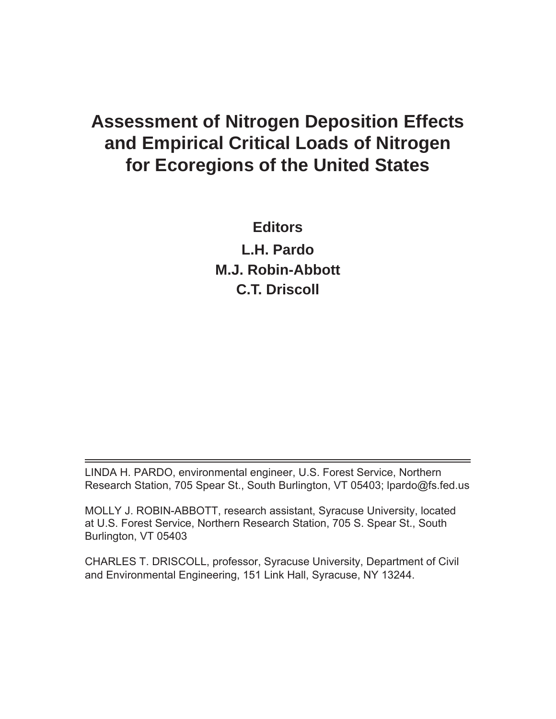## **Assessment of Nitrogen Deposition Effects and Empirical Critical Loads of Nitrogen for Ecoregions of the United States**

**Editors L.H. Pardo M.J. Robin-Abbott C.T. Driscoll**

LINDA H. PARDO, environmental engineer, U.S. Forest Service, Northern Research Station, 705 Spear St., South Burlington, VT 05403; lpardo@fs.fed.us

MOLLY J. ROBIN-ABBOTT, research assistant, Syracuse University, located at U.S. Forest Service, Northern Research Station, 705 S. Spear St., South Burlington, VT 05403

CHARLES T. DRISCOLL, professor, Syracuse University, Department of Civil and Environmental Engineering, 151 Link Hall, Syracuse, NY 13244.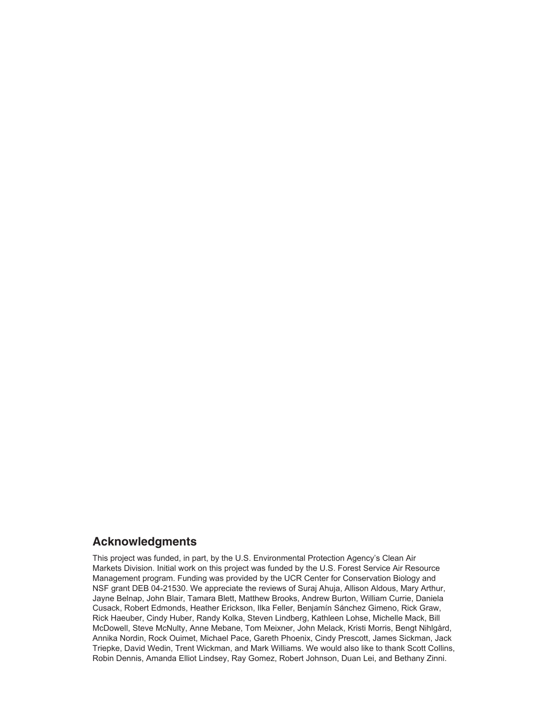#### **Acknowledgments**

This project was funded, in part, by the U.S. Environmental Protection Agency's Clean Air Markets Division. Initial work on this project was funded by the U.S. Forest Service Air Resource Management program. Funding was provided by the UCR Center for Conservation Biology and NSF grant DEB 04-21530. We appreciate the reviews of Suraj Ahuja, Allison Aldous, Mary Arthur, Jayne Belnap, John Blair, Tamara Blett, Matthew Brooks, Andrew Burton, William Currie, Daniela Cusack, Robert Edmonds, Heather Erickson, Ilka Feller, Benjamín Sánchez Gimeno, Rick Graw, Rick Haeuber, Cindy Huber, Randy Kolka, Steven Lindberg, Kathleen Lohse, Michelle Mack, Bill McDowell, Steve McNulty, Anne Mebane, Tom Meixner, John Melack, Kristi Morris, Bengt Nihlgård, Annika Nordin, Rock Ouimet, Michael Pace, Gareth Phoenix, Cindy Prescott, James Sickman, Jack Triepke, David Wedin, Trent Wickman, and Mark Williams. We would also like to thank Scott Collins, Robin Dennis, Amanda Elliot Lindsey, Ray Gomez, Robert Johnson, Duan Lei, and Bethany Zinni.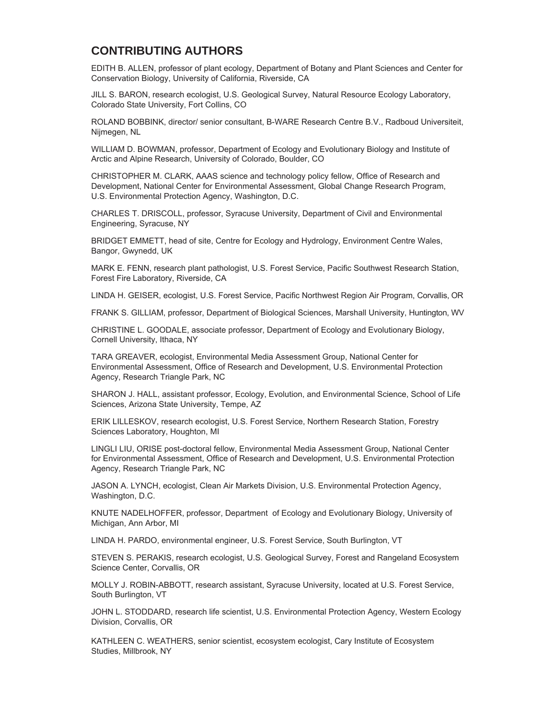### **CONTRIBUTING AUTHORS**

EDITH B. ALLEN, professor of plant ecology, Department of Botany and Plant Sciences and Center for Conservation Biology, University of California, Riverside, CA

JILL S. BARON, research ecologist, U.S. Geological Survey, Natural Resource Ecology Laboratory, Colorado State University, Fort Collins, CO

ROLAND BOBBINK, director/ senior consultant, B-WARE Research Centre B.V., Radboud Universiteit, Nijmegen, NL

WILLIAM D. BOWMAN, professor, Department of Ecology and Evolutionary Biology and Institute of Arctic and Alpine Research, University of Colorado, Boulder, CO

CHRISTOPHER M. CLARK, AAAS science and technology policy fellow, Office of Research and Development, National Center for Environmental Assessment, Global Change Research Program, U.S. Environmental Protection Agency, Washington, D.C.

CHARLES T. DRISCOLL, professor, Syracuse University, Department of Civil and Environmental Engineering, Syracuse, NY

BRIDGET EMMETT, head of site, Centre for Ecology and Hydrology, Environment Centre Wales, Bangor, Gwynedd, UK

MARK E. FENN, research plant pathologist, U.S. Forest Service, Pacific Southwest Research Station, Forest Fire Laboratory, Riverside, CA

LINDA H. GEISER, ecologist, U.S. Forest Service, Pacific Northwest Region Air Program, Corvallis, OR

FRANK S. GILLIAM, professor, Department of Biological Sciences, Marshall University, Huntington, WV

CHRISTINE L. GOODALE, associate professor, Department of Ecology and Evolutionary Biology, Cornell University, Ithaca, NY

TARA GREAVER, ecologist, Environmental Media Assessment Group, National Center for Environmental Assessment, Office of Research and Development, U.S. Environmental Protection Agency, Research Triangle Park, NC

SHARON J. HALL, assistant professor, Ecology, Evolution, and Environmental Science, School of Life Sciences, Arizona State University, Tempe, AZ

ERIK LILLESKOV, research ecologist, U.S. Forest Service, Northern Research Station, Forestry Sciences Laboratory, Houghton, MI

LINGLI LIU, ORISE post-doctoral fellow, Environmental Media Assessment Group, National Center for Environmental Assessment, Office of Research and Development, U.S. Environmental Protection Agency, Research Triangle Park, NC

JASON A. LYNCH, ecologist, Clean Air Markets Division, U.S. Environmental Protection Agency, Washington, D.C.

KNUTE NADELHOFFER, professor, Department of Ecology and Evolutionary Biology, University of Michigan, Ann Arbor, MI

LINDA H. PARDO, environmental engineer, U.S. Forest Service, South Burlington, VT

STEVEN S. PERAKIS, research ecologist, U.S. Geological Survey, Forest and Rangeland Ecosystem Science Center, Corvallis, OR

MOLLY J. ROBIN-ABBOTT, research assistant, Syracuse University, located at U.S. Forest Service, South Burlington, VT

JOHN L. STODDARD, research life scientist, U.S. Environmental Protection Agency, Western Ecology Division, Corvallis, OR

KATHLEEN C. WEATHERS, senior scientist, ecosystem ecologist, Cary Institute of Ecosystem Studies, Millbrook, NY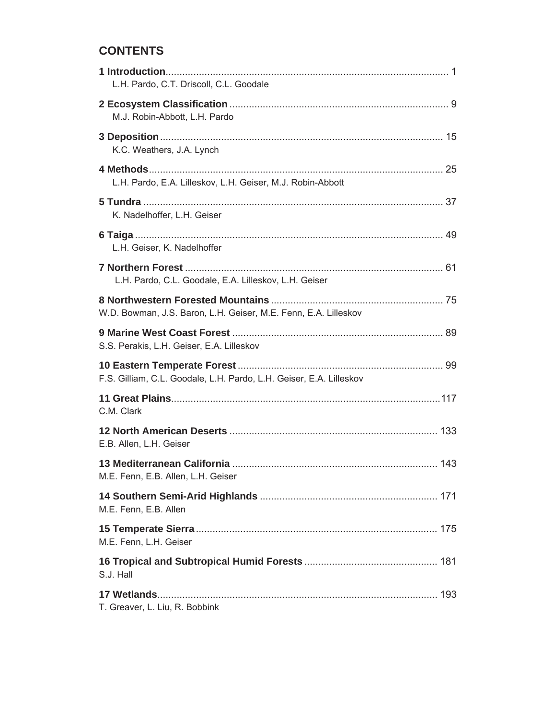## **CONTENTS**

| L.H. Pardo, C.T. Driscoll, C.L. Goodale                             |
|---------------------------------------------------------------------|
| M.J. Robin-Abbott, L.H. Pardo                                       |
| K.C. Weathers, J.A. Lynch                                           |
| L.H. Pardo, E.A. Lilleskov, L.H. Geiser, M.J. Robin-Abbott          |
| K. Nadelhoffer, L.H. Geiser                                         |
| L.H. Geiser, K. Nadelhoffer                                         |
| L.H. Pardo, C.L. Goodale, E.A. Lilleskov, L.H. Geiser               |
| W.D. Bowman, J.S. Baron, L.H. Geiser, M.E. Fenn, E.A. Lilleskov     |
| S.S. Perakis, L.H. Geiser, E.A. Lilleskov                           |
| F.S. Gilliam, C.L. Goodale, L.H. Pardo, L.H. Geiser, E.A. Lilleskov |
| C.M. Clark                                                          |
| E.B. Allen, L.H. Geiser                                             |
| M.E. Fenn, E.B. Allen, L.H. Geiser                                  |
| M.E. Fenn, E.B. Allen                                               |
| M.E. Fenn, L.H. Geiser                                              |
| S.J. Hall                                                           |
| T. Greaver, L. Liu, R. Bobbink                                      |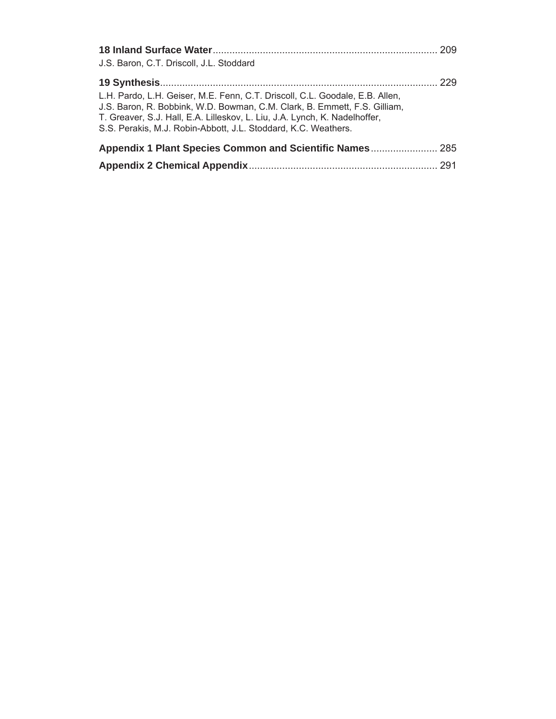|                                                                                                                                                                                                                                                                                                           | 209 |
|-----------------------------------------------------------------------------------------------------------------------------------------------------------------------------------------------------------------------------------------------------------------------------------------------------------|-----|
| J.S. Baron, C.T. Driscoll, J.L. Stoddard                                                                                                                                                                                                                                                                  |     |
|                                                                                                                                                                                                                                                                                                           | 229 |
| L.H. Pardo, L.H. Geiser, M.E. Fenn, C.T. Driscoll, C.L. Goodale, E.B. Allen,<br>J.S. Baron, R. Bobbink, W.D. Bowman, C.M. Clark, B. Emmett, F.S. Gilliam,<br>T. Greaver, S.J. Hall, E.A. Lilleskov, L. Liu, J.A. Lynch, K. Nadelhoffer,<br>S.S. Perakis, M.J. Robin-Abbott, J.L. Stoddard, K.C. Weathers. |     |
| Appendix 1 Plant Species Common and Scientific Names 285                                                                                                                                                                                                                                                  |     |
|                                                                                                                                                                                                                                                                                                           |     |
|                                                                                                                                                                                                                                                                                                           |     |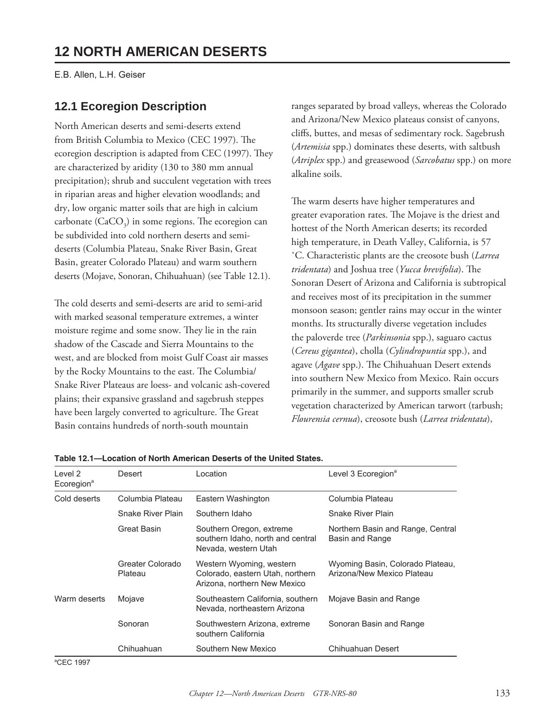E.B. Allen, L.H. Geiser

## **12.1 Ecoregion Description**

North American deserts and semi-deserts extend from British Columbia to Mexico (CEC 1997). The ecoregion description is adapted from CEC (1997). They are characterized by aridity (130 to 380 mm annual precipitation); shrub and succulent vegetation with trees in riparian areas and higher elevation woodlands; and dry, low organic matter soils that are high in calcium carbonate  $(CaCO<sub>3</sub>)$  in some regions. The ecoregion can be subdivided into cold northern deserts and semideserts (Columbia Plateau, Snake River Basin, Great Basin, greater Colorado Plateau) and warm southern deserts (Mojave, Sonoran, Chihuahuan) (see Table 12.1).

The cold deserts and semi-deserts are arid to semi-arid with marked seasonal temperature extremes, a winter moisture regime and some snow. They lie in the rain shadow of the Cascade and Sierra Mountains to the west, and are blocked from moist Gulf Coast air masses by the Rocky Mountains to the east. The Columbia/ Snake River Plateaus are loess- and volcanic ash-covered plains; their expansive grassland and sagebrush steppes have been largely converted to agriculture. The Great Basin contains hundreds of north-south mountain

ranges separated by broad valleys, whereas the Colorado and Arizona/New Mexico plateaus consist of canyons, cliffs, buttes, and mesas of sedimentary rock. Sagebrush (*Artemisia* spp.) dominates these deserts, with saltbush (*Atriplex* spp.) and greasewood (*Sarcobatus* spp.) on more alkaline soils.

The warm deserts have higher temperatures and greater evaporation rates. The Mojave is the driest and hottest of the North American deserts; its recorded high temperature, in Death Valley, California, is 57 ˚C. Characteristic plants are the creosote bush (*Larrea tridentata*) and Joshua tree (*Yucca brevifolia*). The Sonoran Desert of Arizona and California is subtropical and receives most of its precipitation in the summer monsoon season; gentler rains may occur in the winter months. Its structurally diverse vegetation includes the paloverde tree (*Parkinsonia* spp.), saguaro cactus (*Cereus gigantea*), cholla (*Cylindropuntia* spp.), and agave (Agave spp.). The Chihuahuan Desert extends into southern New Mexico from Mexico. Rain occurs primarily in the summer, and supports smaller scrub vegetation characterized by American tarwort (tarbush; *Flourensia cernua*), creosote bush (*Larrea tridentata*),

| Level 2<br>Ecoregion <sup>a</sup> | Desert                      | Location                                                                                     | Level 3 Ecoregion <sup>a</sup>                                 |  |
|-----------------------------------|-----------------------------|----------------------------------------------------------------------------------------------|----------------------------------------------------------------|--|
| Cold deserts                      | Columbia Plateau            | Eastern Washington                                                                           | Columbia Plateau                                               |  |
|                                   | Snake River Plain           | Southern Idaho                                                                               | Snake River Plain                                              |  |
|                                   | Great Basin                 | Southern Oregon, extreme<br>southern Idaho, north and central<br>Nevada, western Utah        | Northern Basin and Range, Central<br>Basin and Range           |  |
|                                   | Greater Colorado<br>Plateau | Western Wyoming, western<br>Colorado, eastern Utah, northern<br>Arizona, northern New Mexico | Wyoming Basin, Colorado Plateau,<br>Arizona/New Mexico Plateau |  |
| Warm deserts                      | Mojave                      | Southeastern California, southern<br>Mojave Basin and Range<br>Nevada, northeastern Arizona  |                                                                |  |
|                                   | Sonoran                     | Southwestern Arizona, extreme<br>Sonoran Basin and Range<br>southern California              |                                                                |  |
|                                   | Chihuahuan                  | Southern New Mexico                                                                          | Chihuahuan Desert                                              |  |

**Table 12.1—Location of North American Deserts of the United States.**

a CEC 1997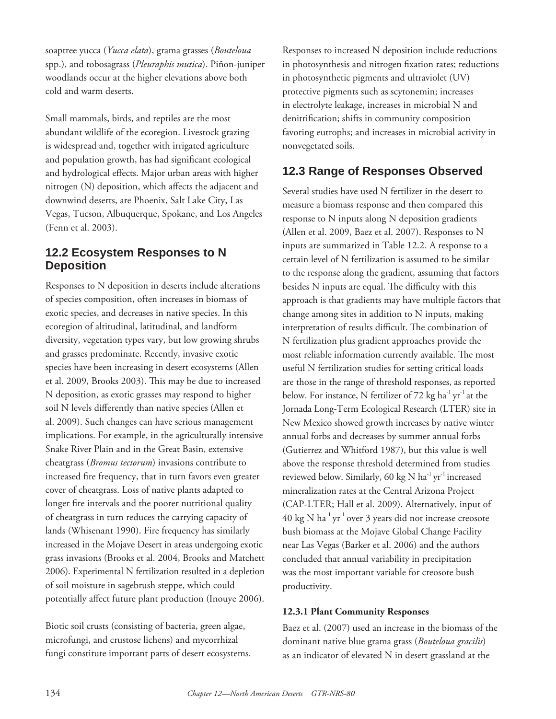soaptree yucca (*Yucca elata*), grama grasses (*Bouteloua* spp.), and tobosagrass (*Pleuraphis mutica*). Piñon-juniper woodlands occur at the higher elevations above both cold and warm deserts.

Small mammals, birds, and reptiles are the most abundant wildlife of the ecoregion. Livestock grazing is widespread and, together with irrigated agriculture and population growth, has had significant ecological and hydrological effects. Major urban areas with higher nitrogen (N) deposition, which affects the adjacent and downwind deserts, are Phoenix, Salt Lake City, Las Vegas, Tucson, Albuquerque, Spokane, and Los Angeles (Fenn et al. 2003).

### **12.2 Ecosystem Responses to N Deposition**

Responses to N deposition in deserts include alterations of species composition, often increases in biomass of exotic species, and decreases in native species. In this ecoregion of altitudinal, latitudinal, and landform diversity, vegetation types vary, but low growing shrubs and grasses predominate. Recently, invasive exotic species have been increasing in desert ecosystems (Allen et al. 2009, Brooks 2003). This may be due to increased N deposition, as exotic grasses may respond to higher soil N levels differently than native species (Allen et al. 2009). Such changes can have serious management implications. For example, in the agriculturally intensive Snake River Plain and in the Great Basin, extensive cheatgrass (*Bromus tectorum*) invasions contribute to increased fire frequency, that in turn favors even greater cover of cheatgrass. Loss of native plants adapted to longer fire intervals and the poorer nutritional quality of cheatgrass in turn reduces the carrying capacity of lands (Whisenant 1990). Fire frequency has similarly increased in the Mojave Desert in areas undergoing exotic grass invasions (Brooks et al. 2004, Brooks and Matchett 2006). Experimental N fertilization resulted in a depletion of soil moisture in sagebrush steppe, which could potentially affect future plant production (Inouye 2006).

Biotic soil crusts (consisting of bacteria, green algae, microfungi, and crustose lichens) and mycorrhizal fungi constitute important parts of desert ecosystems.

Responses to increased N deposition include reductions in photosynthesis and nitrogen fixation rates; reductions in photosynthetic pigments and ultraviolet (UV) protective pigments such as scytonemin; increases in electrolyte leakage, increases in microbial N and denitrification; shifts in community composition favoring eutrophs; and increases in microbial activity in nonvegetated soils.

## **12.3 Range of Responses Observed**

Several studies have used N fertilizer in the desert to measure a biomass response and then compared this response to N inputs along N deposition gradients (Allen et al. 2009, Baez et al. 2007). Responses to N inputs are summarized in Table 12.2. A response to a certain level of N fertilization is assumed to be similar to the response along the gradient, assuming that factors besides N inputs are equal. The difficulty with this approach is that gradients may have multiple factors that change among sites in addition to N inputs, making interpretation of results difficult. The combination of N fertilization plus gradient approaches provide the most reliable information currently available. The most useful N fertilization studies for setting critical loads are those in the range of threshold responses, as reported below. For instance, N fertilizer of 72 kg ha<sup>-1</sup> yr<sup>-1</sup> at the Jornada Long-Term Ecological Research (LTER) site in New Mexico showed growth increases by native winter annual forbs and decreases by summer annual forbs (Gutierrez and Whitford 1987), but this value is well above the response threshold determined from studies reviewed below. Similarly, 60 kg N ha<sup>-1</sup> yr<sup>-1</sup> increased mineralization rates at the Central Arizona Project (CAP-LTER; Hall et al. 2009). Alternatively, input of 40 kg N  $\text{ha}^{-1}\text{yr}^{-1}$  over 3 years did not increase creosote bush biomass at the Mojave Global Change Facility near Las Vegas (Barker et al. 2006) and the authors concluded that annual variability in precipitation was the most important variable for creosote bush productivity.

#### **12.3.1 Plant Community Responses**

Baez et al. (2007) used an increase in the biomass of the dominant native blue grama grass (*Bouteloua gracilis*) as an indicator of elevated N in desert grassland at the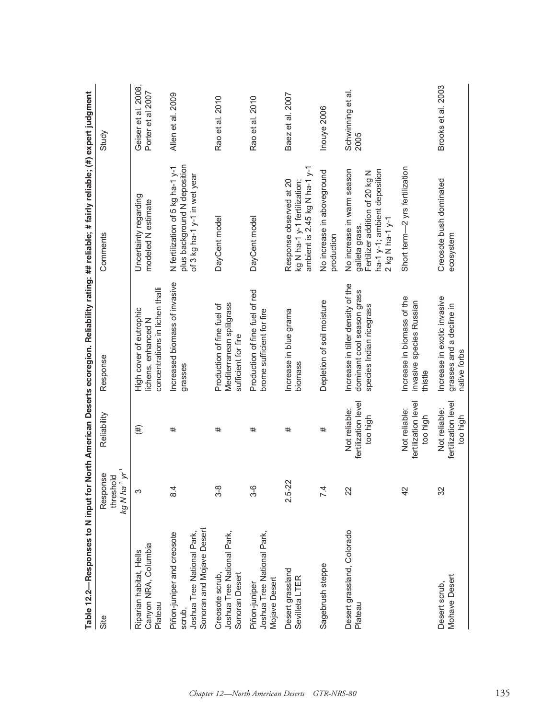|                                                                                                 |                                                                 |                                                  | Table 12.2—Responses to N input for North American Deserts ecoregion. Reliability rating: ## reliable; # fairly reliable; (#) expert judgment |                                                                                                                                     |                                             |
|-------------------------------------------------------------------------------------------------|-----------------------------------------------------------------|--------------------------------------------------|-----------------------------------------------------------------------------------------------------------------------------------------------|-------------------------------------------------------------------------------------------------------------------------------------|---------------------------------------------|
| Site                                                                                            | kg N ha <sup>-1</sup> yr <sup>-1</sup><br>Response<br>threshold | Reliability                                      | Response                                                                                                                                      | Comments                                                                                                                            | Study                                       |
| Canyon NRA, Columbia<br>Riparian habitat, Hells<br>Plateau                                      | က                                                               | (#)                                              | concentrations in lichen thalli<br>High cover of eutrophic<br>lichens, enhanced N                                                             | Uncertainty regarding<br>modeled N estimate                                                                                         | 2008,<br>Porter et al 2007<br>Geiser et al. |
| Sonoran and Mojave Desert<br>Joshua Tree National Park,<br>Piñon-juniper and creosote<br>scrub, | 8.4                                                             | #                                                | Increased biomass of invasive<br>grasses                                                                                                      | plus background N deposition<br>N fertilization of 5 kg ha-1 y-1<br>of 3 kg ha-1 y-1 in wet year                                    | Allen et al. 2009                           |
| Joshua Tree National Park,<br>Creosote scrub,<br>Sonoran Desert                                 | 3-8                                                             | #                                                | Mediterranean splitgrass<br>Production of fine fuel of<br>sufficient for fire                                                                 | DayCent model                                                                                                                       | Rao et al. 2010                             |
| Joshua Tree National Park,<br>Mojave Desert<br>Piñon-juniper                                    | 3-6                                                             | #                                                | Production of fine fuel of red<br>brome sufficient for fire                                                                                   | DayCent model                                                                                                                       | Rao et al. 2010                             |
| Desert grassland<br>Sevilleta LTER                                                              | $2.5 - 22$                                                      | #                                                | Increase in blue grama<br>biomass                                                                                                             | ambient is 2.45 kg N ha-1 y-1<br>Response observed at 20<br>kg N ha-1 y-1 fertilization;                                            | Baez et al. 2007                            |
| Sagebrush steppe                                                                                | 7.4                                                             | #                                                | Depletion of soil moisture                                                                                                                    | No increase in aboveground<br>production                                                                                            | Inouye 2006                                 |
| Desert grassland, Colorado<br>Plateau                                                           | 22                                                              | fertilization level<br>Not reliable:<br>too high | Increase in tiller density of the<br>dominant cool season grass<br>species Indian ricegrass                                                   | No increase in warm season<br>ha-1 y-1; ambient deposition<br>Fertilizer addition of 20 kg N<br>$2$ kg N ha-1 y-1<br>galleta grass. | Schwinning et al.<br>2005                   |
|                                                                                                 | 42                                                              | fertilization level<br>Not reliable:<br>too high | Increase in biomass of the<br>invasive species Russian<br>thistle                                                                             | Short term-2 yrs fertilization                                                                                                      |                                             |
| Mohave Desert<br>Desert scrub,                                                                  | 32                                                              | fertilization level<br>Not reliable:<br>too high | Increase in exotic invasive<br>grasses and a decline in<br>native forbs                                                                       | Creosote bush dominated<br>ecosystem                                                                                                | Brooks et al. 2003                          |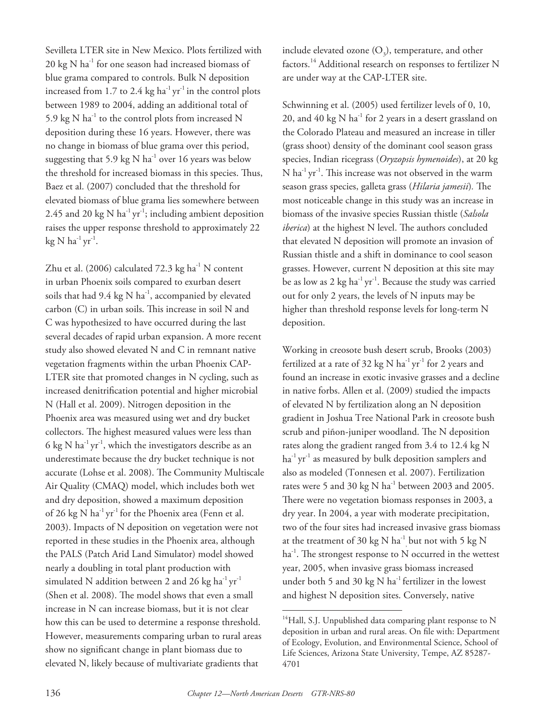Sevilleta LTER site in New Mexico. Plots fertilized with 20 kg N ha<sup>-1</sup> for one season had increased biomass of blue grama compared to controls. Bulk N deposition increased from 1.7 to 2.4 kg ha<sup>-1</sup> yr<sup>-1</sup> in the control plots between 1989 to 2004, adding an additional total of 5.9 kg  $N$  ha<sup>-1</sup> to the control plots from increased  $N$ deposition during these 16 years. However, there was no change in biomass of blue grama over this period, suggesting that 5.9 kg N  $ha^{-1}$  over 16 years was below the threshold for increased biomass in this species. Thus, Baez et al. (2007) concluded that the threshold for elevated biomass of blue grama lies somewhere between 2.45 and 20 kg N ha<sup>-1</sup> yr<sup>-1</sup>; including ambient deposition raises the upper response threshold to approximately 22  $kg N ha^{-1} yr^{-1}$ .

Zhu et al. (2006) calculated  $72.3 \text{ kg ha}^{-1}$  N content in urban Phoenix soils compared to exurban desert soils that had 9.4 kg N ha<sup>-1</sup>, accompanied by elevated carbon (C) in urban soils. This increase in soil N and C was hypothesized to have occurred during the last several decades of rapid urban expansion. A more recent study also showed elevated N and C in remnant native vegetation fragments within the urban Phoenix CAP-LTER site that promoted changes in N cycling, such as increased denitrification potential and higher microbial N (Hall et al. 2009). Nitrogen deposition in the Phoenix area was measured using wet and dry bucket collectors. The highest measured values were less than 6 kg N  $\text{ha}^{-1}\text{yr}^{-1}$ , which the investigators describe as an underestimate because the dry bucket technique is not accurate (Lohse et al. 2008). The Community Multiscale Air Quality (CMAQ) model, which includes both wet and dry deposition, showed a maximum deposition of 26 kg N  $ha^{-1}$  yr<sup>-1</sup> for the Phoenix area (Fenn et al. 2003). Impacts of N deposition on vegetation were not reported in these studies in the Phoenix area, although the PALS (Patch Arid Land Simulator) model showed nearly a doubling in total plant production with simulated N addition between 2 and 26 kg ha $^{-1}$  yr $^{-1}$ (Shen et al. 2008). The model shows that even a small increase in N can increase biomass, but it is not clear how this can be used to determine a response threshold. However, measurements comparing urban to rural areas show no significant change in plant biomass due to elevated N, likely because of multivariate gradients that

include elevated ozone  $(O_3)$ , temperature, and other factors.<sup>14</sup> Additional research on responses to fertilizer N are under way at the CAP-LTER site.

Schwinning et al. (2005) used fertilizer levels of 0, 10, 20, and 40 kg N ha $^{-1}$  for 2 years in a desert grassland on the Colorado Plateau and measured an increase in tiller (grass shoot) density of the dominant cool season grass species, Indian ricegrass (*Oryzopsis hymenoides*), at 20 kg  $N$  ha<sup>-1</sup> yr<sup>-1</sup>. This increase was not observed in the warm season grass species, galleta grass (*Hilaria jamesii*). The most noticeable change in this study was an increase in biomass of the invasive species Russian thistle (*Salsola iberica*) at the highest N level. The authors concluded that elevated N deposition will promote an invasion of Russian thistle and a shift in dominance to cool season grasses. However, current N deposition at this site may be as low as 2 kg ha<sup>-1</sup> yr<sup>-1</sup>. Because the study was carried out for only 2 years, the levels of N inputs may be higher than threshold response levels for long-term N deposition.

Working in creosote bush desert scrub, Brooks (2003) fertilized at a rate of 32 kg N  $ha^{-1}$  yr<sup>-1</sup> for 2 years and found an increase in exotic invasive grasses and a decline in native forbs. Allen et al. (2009) studied the impacts of elevated N by fertilization along an N deposition gradient in Joshua Tree National Park in creosote bush scrub and piñon-juniper woodland. The N deposition rates along the gradient ranged from 3.4 to 12.4 kg N  $ha^{-1}$  yr<sup>-1</sup> as measured by bulk deposition samplers and also as modeled (Tonnesen et al. 2007). Fertilization rates were 5 and 30 kg N ha<sup>-1</sup> between 2003 and 2005. There were no vegetation biomass responses in 2003, a dry year. In 2004, a year with moderate precipitation, two of the four sites had increased invasive grass biomass at the treatment of 30 kg N ha $^{-1}$  but not with 5 kg N  $ha<sup>-1</sup>$ . The strongest response to N occurred in the wettest year, 2005, when invasive grass biomass increased under both 5 and 30 kg N  $ha^{-1}$  fertilizer in the lowest and highest N deposition sites. Conversely, native

 $14$ Hall, S.J. Unpublished data comparing plant response to N deposition in urban and rural areas. On file with: Department of Ecology, Evolution, and Environmental Science, School of Life Sciences, Arizona State University, Tempe, AZ 85287- 4701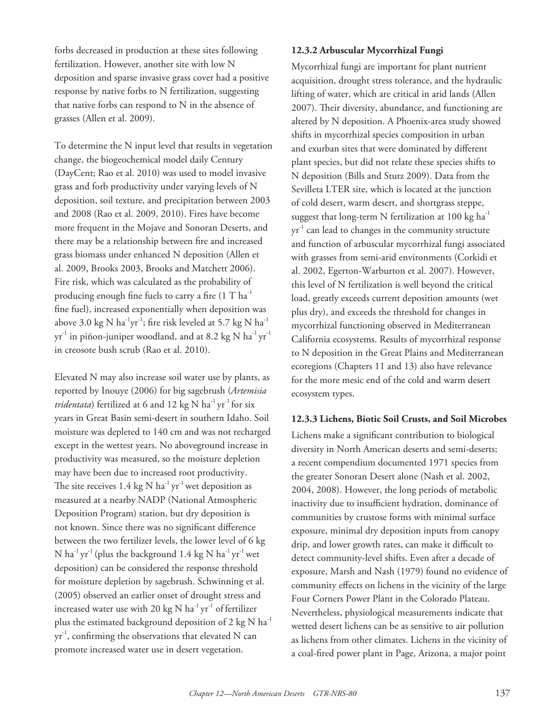forbs decreased in production at these sites following fertilization. However, another site with low N deposition and sparse invasive grass cover had a positive response by native forbs to N fertilization, suggesting that native forbs can respond to N in the absence of grasses (Allen et al. 2009).

To determine the N input level that results in vegetation change, the biogeochemical model daily Century (DayCent; Rao et al. 2010) was used to model invasive grass and forb productivity under varying levels of N deposition, soil texture, and precipitation between 2003 and 2008 (Rao et al. 2009, 2010). Fires have become more frequent in the Mojave and Sonoran Deserts, and there may be a relationship between fire and increased grass biomass under enhanced N deposition (Allen et al. 2009, Brooks 2003, Brooks and Matchett 2006). Fire risk, which was calculated as the probability of producing enough fine fuels to carry a fire  $(1 T h a^{-1})$ fine fuel), increased exponentially when deposition was above 3.0 kg N ha<sup>-1</sup>yr<sup>-1</sup>; fire risk leveled at 5.7 kg N ha<sup>-1</sup>  $yr^{-1}$  in piñon-juniper woodland, and at 8.2 kg N ha<sup>-1</sup> yr<sup>-1</sup> in creosote bush scrub (Rao et al. 2010).

Elevated N may also increase soil water use by plants, as reported by Inouye (2006) for big sagebrush (*Artemisia tridentata*) fertilized at 6 and 12 kg N ha<sup>-1</sup> yr<sup>-1</sup> for six years in Great Basin semi-desert in southern Idaho. Soil moisture was depleted to 140 cm and was not recharged except in the wettest years. No aboveground increase in productivity was measured, so the moisture depletion may have been due to increased root productivity. The site receives 1.4 kg N  $ha^{-1}yr^{-1}$  wet deposition as measured at a nearby NADP (National Atmospheric Deposition Program) station, but dry deposition is not known. Since there was no significant difference between the two fertilizer levels, the lower level of 6 kg N ha<sup>-1</sup> yr<sup>-1</sup> (plus the background 1.4 kg N ha<sup>-1</sup> yr<sup>-1</sup> wet deposition) can be considered the response threshold for moisture depletion by sagebrush. Schwinning et al. (2005) observed an earlier onset of drought stress and increased water use with 20 kg N  $ha^{-1}yr^{-1}$  of fertilizer plus the estimated background deposition of 2 kg N  $ha^{-1}$  $yr^{-1}$ , confirming the observations that elevated N can promote increased water use in desert vegetation.

#### **12.3.2 Arbuscular Mycorrhizal Fungi**

Mycorrhizal fungi are important for plant nutrient acquisition, drought stress tolerance, and the hydraulic lifting of water, which are critical in arid lands (Allen 2007). Their diversity, abundance, and functioning are altered by N deposition. A Phoenix-area study showed shifts in mycorrhizal species composition in urban and exurban sites that were dominated by different plant species, but did not relate these species shifts to N deposition (Bills and Stutz 2009). Data from the Sevilleta LTER site, which is located at the junction of cold desert, warm desert, and shortgrass steppe, suggest that long-term N fertilization at 100 kg  $ha^{-1}$  $yr<sup>-1</sup>$  can lead to changes in the community structure and function of arbuscular mycorrhizal fungi associated with grasses from semi-arid environments (Corkidi et al. 2002, Egerton-Warburton et al. 2007). However, this level of N fertilization is well beyond the critical load, greatly exceeds current deposition amounts (wet plus dry), and exceeds the threshold for changes in mycorrhizal functioning observed in Mediterranean California ecosystems. Results of mycorrhizal response to N deposition in the Great Plains and Mediterranean ecoregions (Chapters 11 and 13) also have relevance for the more mesic end of the cold and warm desert ecosystem types.

#### **12.3.3 Lichens, Biotic Soil Crusts, and Soil Microbes**

Lichens make a significant contribution to biological diversity in North American deserts and semi-deserts; a recent compendium documented 1971 species from the greater Sonoran Desert alone (Nash et al. 2002, 2004, 2008). However, the long periods of metabolic inactivity due to insufficient hydration, dominance of communities by crustose forms with minimal surface exposure, minimal dry deposition inputs from canopy drip, and lower growth rates, can make it difficult to detect community-level shifts. Even after a decade of exposure, Marsh and Nash (1979) found no evidence of community effects on lichens in the vicinity of the large Four Corners Power Plant in the Colorado Plateau. Nevertheless, physiological measurements indicate that wetted desert lichens can be as sensitive to air pollution as lichens from other climates. Lichens in the vicinity of a coal-fired power plant in Page, Arizona, a major point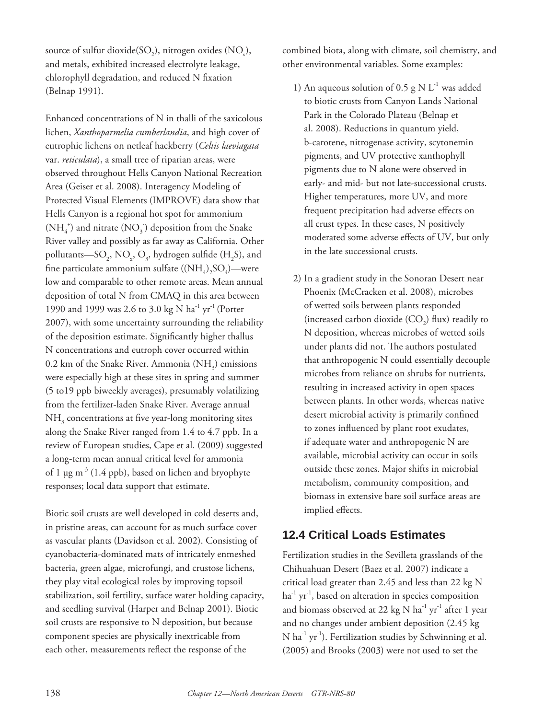source of sulfur dioxide( $SO<sub>2</sub>$ ), nitrogen oxides ( $NO<sub>x</sub>$ ), and metals, exhibited increased electrolyte leakage, chlorophyll degradation, and reduced N fixation (Belnap 1991).

Enhanced concentrations of N in thalli of the saxicolous lichen, *Xanthoparmelia cumberlandia*, and high cover of eutrophic lichens on netleaf hackberry (*Celtis laeviagata* var. *reticulata*), a small tree of riparian areas, were observed throughout Hells Canyon National Recreation Area (Geiser et al. 2008). Interagency Modeling of Protected Visual Elements (IMPROVE) data show that Hells Canyon is a regional hot spot for ammonium  $({\rm NH_4^+})$  and nitrate  $({\rm NO}_3^-)$  deposition from the Snake River valley and possibly as far away as California. Other pollutants—SO<sub>2</sub>, NO<sub>x</sub>, O<sub>3</sub>, hydrogen sulfide (H<sub>2</sub>S), and fine particulate ammonium sulfate  $((NH_4), SO_4)$ —were low and comparable to other remote areas. Mean annual deposition of total N from CMAQ in this area between 1990 and 1999 was 2.6 to 3.0 kg N ha<sup>-1</sup> yr<sup>-1</sup> (Porter 2007), with some uncertainty surrounding the reliability of the deposition estimate. Significantly higher thallus N concentrations and eutroph cover occurred within 0.2 km of the Snake River. Ammonia (NH<sub>3</sub>) emissions were especially high at these sites in spring and summer (5 to19 ppb biweekly averages), presumably volatilizing from the fertilizer-laden Snake River. Average annual  $NH<sub>3</sub>$  concentrations at five year-long monitoring sites along the Snake River ranged from 1.4 to 4.7 ppb. In a review of European studies, Cape et al. (2009) suggested a long-term mean annual critical level for ammonia of 1  $\mu$ g m<sup>-3</sup> (1.4 ppb), based on lichen and bryophyte responses; local data support that estimate.

Biotic soil crusts are well developed in cold deserts and, in pristine areas, can account for as much surface cover as vascular plants (Davidson et al. 2002). Consisting of cyanobacteria-dominated mats of intricately enmeshed bacteria, green algae, microfungi, and crustose lichens, they play vital ecological roles by improving topsoil stabilization, soil fertility, surface water holding capacity, and seedling survival (Harper and Belnap 2001). Biotic soil crusts are responsive to N deposition, but because component species are physically inextricable from each other, measurements reflect the response of the

combined biota, along with climate, soil chemistry, and other environmental variables. Some examples:

- 1) An aqueous solution of 0.5 g N  $L^{-1}$  was added to biotic crusts from Canyon Lands National Park in the Colorado Plateau (Belnap et al. 2008). Reductions in quantum yield, b-carotene, nitrogenase activity, scytonemin pigments, and UV protective xanthophyll pigments due to N alone were observed in early- and mid- but not late-successional crusts. Higher temperatures, more UV, and more frequent precipitation had adverse effects on all crust types. In these cases, N positively moderated some adverse effects of UV, but only in the late successional crusts.
- 2) In a gradient study in the Sonoran Desert near Phoenix (McCracken et al. 2008), microbes of wetted soils between plants responded (increased carbon dioxide  $(CO<sub>2</sub>)$  flux) readily to N deposition, whereas microbes of wetted soils under plants did not. The authors postulated that anthropogenic N could essentially decouple microbes from reliance on shrubs for nutrients, resulting in increased activity in open spaces between plants. In other words, whereas native desert microbial activity is primarily confined to zones influenced by plant root exudates, if adequate water and anthropogenic N are available, microbial activity can occur in soils outside these zones. Major shifts in microbial metabolism, community composition, and biomass in extensive bare soil surface areas are implied effects.

#### **12.4 Critical Loads Estimates**

Fertilization studies in the Sevilleta grasslands of the Chihuahuan Desert (Baez et al. 2007) indicate a critical load greater than 2.45 and less than 22 kg N  $ha^{-1}$  yr<sup>-1</sup>, based on alteration in species composition and biomass observed at 22 kg N  $ha^{-1}$  yr<sup>-1</sup> after 1 year and no changes under ambient deposition (2.45 kg  $N$  ha<sup>-1</sup> yr<sup>-1</sup>). Fertilization studies by Schwinning et al. (2005) and Brooks (2003) were not used to set the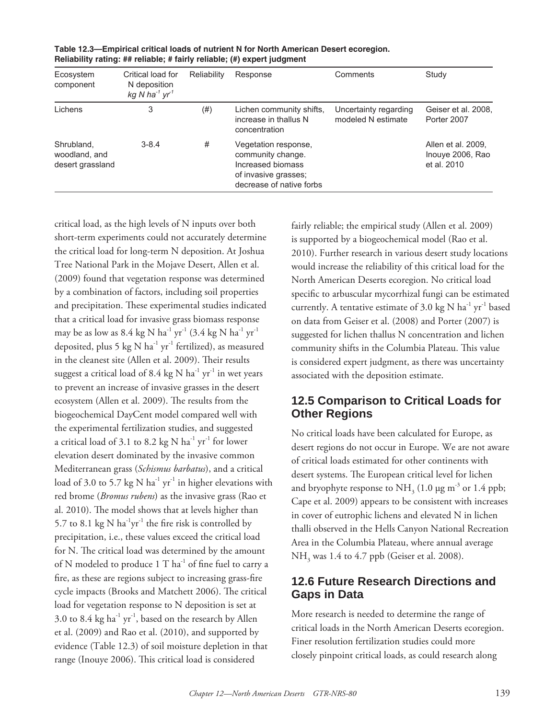| Ecosystem<br>component                          | Critical load for<br>N deposition<br>kg N ha <sup>-1</sup> $yr1$ | Reliability | Response                                                                                                           | Comments                                    | Study                                                 |
|-------------------------------------------------|------------------------------------------------------------------|-------------|--------------------------------------------------------------------------------------------------------------------|---------------------------------------------|-------------------------------------------------------|
| Lichens                                         | 3                                                                | (# )        | Lichen community shifts,<br>increase in thallus N<br>concentration                                                 | Uncertainty regarding<br>modeled N estimate | Geiser et al. 2008.<br>Porter 2007                    |
| Shrubland,<br>woodland, and<br>desert grassland | $3 - 8.4$                                                        | #           | Vegetation response,<br>community change.<br>Increased biomass<br>of invasive grasses;<br>decrease of native forbs |                                             | Allen et al. 2009.<br>Inouye 2006, Rao<br>et al. 2010 |

**Table 12.3—Empirical critical loads of nutrient N for North American Desert ecoregion. Reliability rating: ## reliable; # fairly reliable; (#) expert judgment**

critical load, as the high levels of N inputs over both short-term experiments could not accurately determine the critical load for long-term N deposition. At Joshua Tree National Park in the Mojave Desert, Allen et al. (2009) found that vegetation response was determined by a combination of factors, including soil properties and precipitation. These experimental studies indicated that a critical load for invasive grass biomass response may be as low as  $8.4 \text{ kg N ha}^{-1} \text{ yr}^{-1}$   $(3.4 \text{ kg N ha}^{-1} \text{ yr}^{-1})$ deposited, plus 5 kg N  $ha^{-1}$  yr<sup>-1</sup> fertilized), as measured in the cleanest site (Allen et al. 2009). Their results suggest a critical load of 8.4 kg N  $ha^{-1}$  yr<sup>-1</sup> in wet years to prevent an increase of invasive grasses in the desert ecosystem (Allen et al. 2009). The results from the biogeochemical DayCent model compared well with the experimental fertilization studies, and suggested a critical load of 3.1 to 8.2 kg N  $ha^{-1}$  yr<sup>-1</sup> for lower elevation desert dominated by the invasive common Mediterranean grass (*Schismus barbatus*), and a critical load of 3.0 to 5.7 kg N  $ha^{-1}$  yr<sup>-1</sup> in higher elevations with red brome (*Bromus rubens*) as the invasive grass (Rao et al. 2010). The model shows that at levels higher than 5.7 to 8.1 kg N  $\text{ha}^{-1}\text{yr}^{-1}$  the fire risk is controlled by precipitation, i.e., these values exceed the critical load for N. The critical load was determined by the amount of N modeled to produce  $1$  T ha $^{-1}$  of fine fuel to carry a fire, as these are regions subject to increasing grass-fire cycle impacts (Brooks and Matchett 2006). The critical load for vegetation response to N deposition is set at 3.0 to 8.4 kg ha $^{-1}$  yr<sup>-1</sup>, based on the research by Allen et al. (2009) and Rao et al. (2010), and supported by evidence (Table 12.3) of soil moisture depletion in that range (Inouye 2006). This critical load is considered

fairly reliable; the empirical study (Allen et al. 2009) is supported by a biogeochemical model (Rao et al. 2010). Further research in various desert study locations would increase the reliability of this critical load for the North American Deserts ecoregion. No critical load specific to arbuscular mycorrhizal fungi can be estimated currently. A tentative estimate of 3.0 kg N  $ha^{-1}$  yr<sup>-1</sup> based on data from Geiser et al. (2008) and Porter (2007) is suggested for lichen thallus N concentration and lichen community shifts in the Columbia Plateau. This value is considered expert judgment, as there was uncertainty associated with the deposition estimate.

#### **12.5 Comparison to Critical Loads for Other Regions**

No critical loads have been calculated for Europe, as desert regions do not occur in Europe. We are not aware of critical loads estimated for other continents with desert systems. The European critical level for lichen and bryophyte response to  $NH<sub>3</sub>$  (1.0 µg m<sup>-3</sup> or 1.4 ppb; Cape et al. 2009) appears to be consistent with increases in cover of eutrophic lichens and elevated N in lichen thalli observed in the Hells Canyon National Recreation Area in the Columbia Plateau, where annual average NH<sub>3</sub> was 1.4 to 4.7 ppb (Geiser et al. 2008).

#### **12.6 Future Research Directions and Gaps in Data**

More research is needed to determine the range of critical loads in the North American Deserts ecoregion. Finer resolution fertilization studies could more closely pinpoint critical loads, as could research along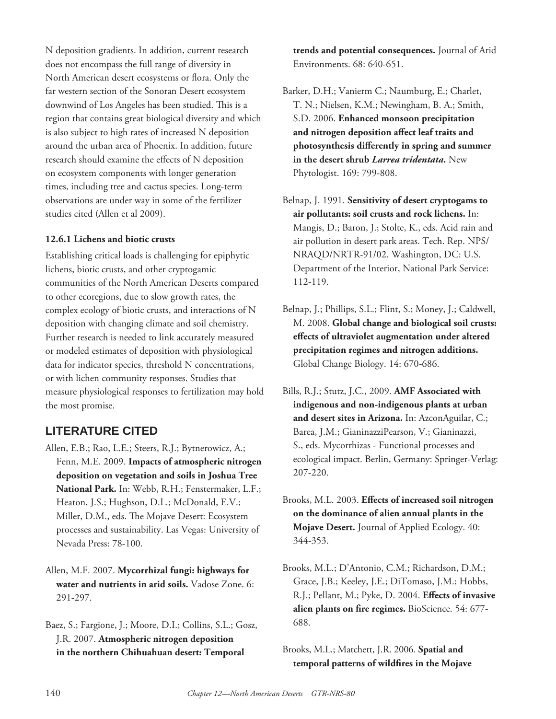N deposition gradients. In addition, current research does not encompass the full range of diversity in North American desert ecosystems or flora. Only the far western section of the Sonoran Desert ecosystem downwind of Los Angeles has been studied. This is a region that contains great biological diversity and which is also subject to high rates of increased N deposition around the urban area of Phoenix. In addition, future research should examine the effects of N deposition on ecosystem components with longer generation times, including tree and cactus species. Long-term observations are under way in some of the fertilizer studies cited (Allen et al 2009).

#### **12.6.1 Lichens and biotic crusts**

Establishing critical loads is challenging for epiphytic lichens, biotic crusts, and other cryptogamic communities of the North American Deserts compared to other ecoregions, due to slow growth rates, the complex ecology of biotic crusts, and interactions of N deposition with changing climate and soil chemistry. Further research is needed to link accurately measured or modeled estimates of deposition with physiological data for indicator species, threshold N concentrations, or with lichen community responses. Studies that measure physiological responses to fertilization may hold the most promise.

## **LITERATURE CITED**

- Allen, E.B.; Rao, L.E.; Steers, R.J.; Bytnerowicz, A.; Fenn, M.E. 2009. **Impacts of atmospheric nitrogen deposition on vegetation and soils in Joshua Tree National Park.** In: Webb, R.H.; Fenstermaker, L.F.; Heaton, J.S.; Hughson, D.L.; McDonald, E.V.; Miller, D.M., eds. The Mojave Desert: Ecosystem processes and sustainability. Las Vegas: University of Nevada Press: 78-100.
- Allen, M.F. 2007. **Mycorrhizal fungi: highways for water and nutrients in arid soils.** Vadose Zone. 6: 291-297.
- Baez, S.; Fargione, J.; Moore, D.I.; Collins, S.L.; Gosz, J.R. 2007. **Atmospheric nitrogen deposition in the northern Chihuahuan desert: Temporal**

**trends and potential consequences.** Journal of Arid Environments. 68: 640-651.

- Barker, D.H.; Vanierm C.; Naumburg, E.; Charlet, T. N.; Nielsen, K.M.; Newingham, B. A.; Smith, S.D. 2006. **Enhanced monsoon precipitation**  and nitrogen deposition affect leaf traits and photosynthesis differently in spring and summer **in the desert shrub** *Larrea tridentata***.** New Phytologist. 169: 799-808.
- Belnap, J. 1991. **Sensitivity of desert cryptogams to air pollutants: soil crusts and rock lichens.** In: Mangis, D.; Baron, J.; Stolte, K., eds. Acid rain and air pollution in desert park areas. Tech. Rep. NPS/ NRAQD/NRTR-91/02. Washington, DC: U.S. Department of the Interior, National Park Service: 112-119.
- Belnap, J.; Phillips, S.L.; Flint, S.; Money, J.; Caldwell, M. 2008. **Global change and biological soil crusts:**  effects of ultraviolet augmentation under altered **precipitation regimes and nitrogen additions.** Global Change Biology. 14: 670-686.
- Bills, R.J.; Stutz, J.C., 2009. **AMF Associated with indigenous and non-indigenous plants at urban and desert sites in Arizona.** In: AzconAguilar, C.; Barea, J.M.; GianinazziPearson, V.; Gianinazzi, S., eds. Mycorrhizas - Functional processes and ecological impact. Berlin, Germany: Springer-Verlag: 207-220.
- Brooks, M.L. 2003. Effects of increased soil nitrogen **on the dominance of alien annual plants in the Mojave Desert.** Journal of Applied Ecology. 40: 344-353.
- Brooks, M.L.; D'Antonio, C.M.; Richardson, D.M.; Grace, J.B.; Keeley, J.E.; DiTomaso, J.M.; Hobbs, R.J.; Pellant, M.; Pyke, D. 2004. Effects of invasive alien plants on fire regimes. BioScience. 54: 677-688.
- Brooks, M.L.; Matchett, J.R. 2006. **Spatial and**  temporal patterns of wildfires in the Mojave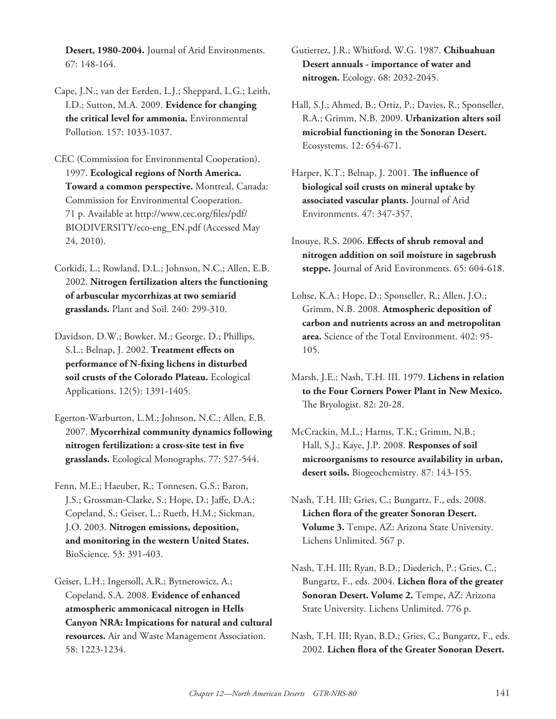**Desert, 1980-2004.** Journal of Arid Environments. 67: 148-164.

- Cape, J.N.; van der Eerden, L.J.; Sheppard, L.G.; Leith, I.D.; Sutton, M.A. 2009. **Evidence for changing the critical level for ammonia.** Environmental Pollution. 157: 1033-1037.
- CEC (Commission for Environmental Cooperation). 1997. **Ecological regions of North America. Toward a common perspective.** Montreal, Canada: Commission for Environmental Cooperation. 71 p. Available at http://www.cec.org/files/pdf/ BIODIVERSITY/eco-eng\_EN.pdf (Accessed May 24, 2010).
- Corkidi, L.; Rowland, D.L.; Johnson, N.C.; Allen, E.B. 2002. **Nitrogen fertilization alters the functioning of arbuscular mycorrhizas at two semiarid grasslands.** Plant and Soil. 240: 299-310.
- Davidson, D.W.; Bowker, M.; George, D.; Phillips, S.L.; Belnap, J. 2002. Treatment effects on performance of N-fixing lichens in disturbed **soil crusts of the Colorado Plateau.** Ecological Applications. 12(5): 1391-1405.
- Egerton-Warburton, L.M.; Johnson, N.C.; Allen, E.B. 2007. **Mycorrhizal community dynamics following**  nitrogen fertilization: a cross-site test in five **grasslands.** Ecological Monographs. 77: 527-544.
- Fenn, M.E.; Haeuber, R.; Tonnesen, G.S.; Baron, J.S.; Grossman-Clarke, S.; Hope, D.; Jaffe, D.A.; Copeland, S.; Geiser, L.; Rueth, H.M.; Sickman, J.O. 2003. **Nitrogen emissions, deposition, and monitoring in the western United States.** BioScience. 53: 391-403.
- Geiser, L.H.; Ingersoll, A.R.; Bytnerowicz, A.; Copeland, S.A. 2008. **Evidence of enhanced atmospheric ammonicacal nitrogen in Hells Canyon NRA: Impications for natural and cultural resources.** Air and Waste Management Association. 58: 1223-1234.

Gutierrez, J.R.; Whitford, W.G. 1987. **Chihuahuan Desert annuals - importance of water and nitrogen.** Ecology. 68: 2032-2045.

- Hall, S.J.; Ahmed, B.; Ortiz, P.; Davies, R.; Sponseller, R.A.; Grimm, N.B. 2009. **Urbanization alters soil microbial functioning in the Sonoran Desert.** Ecosystems. 12: 654-671.
- Harper, K.T.; Belnap, J. 2001. **The influence of biological soil crusts on mineral uptake by associated vascular plants.** Journal of Arid Environments. 47: 347-357.
- Inouye, R.S. 2006. Effects of shrub removal and **nitrogen addition on soil moisture in sagebrush steppe.** Journal of Arid Environments. 65: 604-618.
- Lohse, K.A.; Hope, D.; Sponseller, R.; Allen, J.O.; Grimm, N.B. 2008. **Atmospheric deposition of carbon and nutrients across an and metropolitan area.** Science of the Total Environment. 402: 95- 105.
- Marsh, J.E.; Nash, T.H. III. 1979. **Lichens in relation to the Four Corners Power Plant in New Mexico.** The Bryologist. 82: 20-28.
- McCrackin, M.L.; Harms, T.K.; Grimm, N.B.; Hall, S.J.; Kaye, J.P. 2008. **Responses of soil microorganisms to resource availability in urban, desert soils.** Biogeochemistry. 87: 143-155.
- Nash, T.H. III; Gries, C.; Bungartz, F., eds. 2008. Lichen flora of the greater Sonoran Desert. **Volume 3.** Tempe, AZ: Arizona State University. Lichens Unlimited. 567 p.
- Nash, T.H. III; Ryan, B.D.; Diederich, P.; Gries, C.; Bungartz, F., eds. 2004. **Lichen flora of the greater Sonoran Desert. Volume 2.** Tempe, AZ: Arizona State University. Lichens Unlimited. 776 p.
- Nash, T.H. III; Ryan, B.D.; Gries, C.; Bungartz, F., eds. 2002. Lichen flora of the Greater Sonoran Desert.